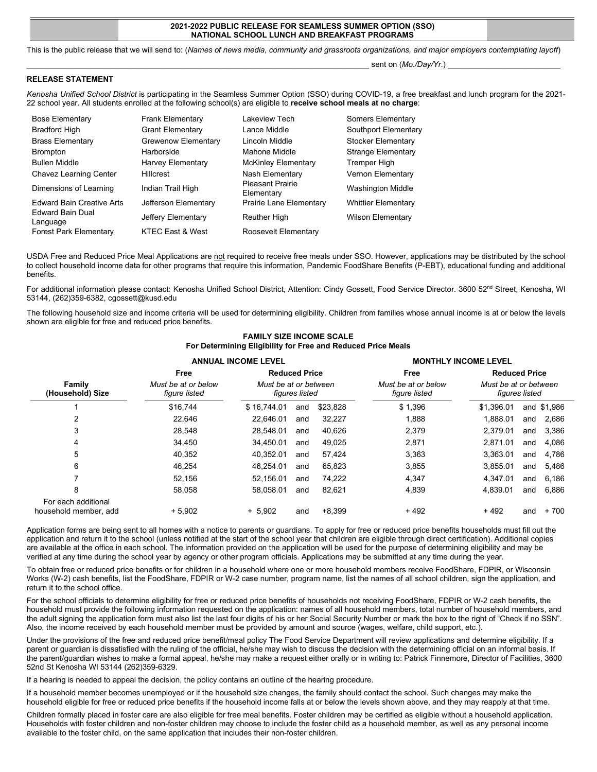### **2021-2022 PUBLIC RELEASE FOR SEAMLESS SUMMER OPTION (SSO) NATIONAL SCHOOL LUNCH AND BREAKFAST PROGRAMS**

This is the public release that we will send to: (*Names of news media, community and grassroots organizations, and major employers contemplating layoff*)

sent on (*Mo./Day/Yr.*)

## **RELEASE STATEMENT**

*Kenosha Unified School District* is participating in the Seamless Summer Option (SSO) during COVID-19, a free breakfast and lunch program for the 2021- 22 school year. All students enrolled at the following school(s) are eligible to **receive school meals at no charge**:

| <b>Bose Elementary</b>              | <b>Frank Elementary</b>     | Lakeview Tech                         | Somers Elementary          |
|-------------------------------------|-----------------------------|---------------------------------------|----------------------------|
| <b>Bradford High</b>                | <b>Grant Elementary</b>     | Lance Middle                          | Southport Elementary       |
| <b>Brass Elementary</b>             | Grewenow Elementary         | Lincoln Middle                        | Stocker Elementary         |
| <b>Brompton</b>                     | Harborside                  | Mahone Middle                         | Strange Elementary         |
| <b>Bullen Middle</b>                | <b>Harvey Elementary</b>    | <b>McKinley Elementary</b>            | Tremper High               |
| <b>Chavez Learning Center</b>       | <b>Hillcrest</b>            | Nash Elementary                       | <b>Vernon Elementary</b>   |
| Dimensions of Learning              | Indian Trail High           | <b>Pleasant Prairie</b><br>Elementary | Washington Middle          |
| <b>Edward Bain Creative Arts</b>    | Jefferson Elementary        | Prairie Lane Elementary               | <b>Whittier Elementary</b> |
| <b>Edward Bain Dual</b><br>Language | Jeffery Elementary          | <b>Reuther High</b>                   | Wilson Elementary          |
| <b>Forest Park Elementary</b>       | <b>KTEC East &amp; West</b> | Roosevelt Elementary                  |                            |

USDA Free and Reduced Price Meal Applications are not required to receive free meals under SSO. However, applications may be distributed by the school to collect household income data for other programs that require this information, Pandemic FoodShare Benefits (P-EBT), educational funding and additional benefits.

For additional information please contact: Kenosha Unified School District, Attention: Cindy Gossett, Food Service Director. 3600 52<sup>nd</sup> Street, Kenosha, WI 53144, (262)359-6382, cgossett@kusd.edu

The following household size and income criteria will be used for determining eligibility. Children from families whose annual income is at or below the levels shown are eligible for free and reduced price benefits.

## **FAMILY SIZE INCOME SCALE For Determining Eligibility for Free and Reduced Price Meals**

|                                              | <b>ANNUAL INCOME LEVEL</b>           |                                                                 |     | <b>MONTHLY INCOME LEVEL</b>          |                                         |            |     |         |
|----------------------------------------------|--------------------------------------|-----------------------------------------------------------------|-----|--------------------------------------|-----------------------------------------|------------|-----|---------|
|                                              | Free                                 | <b>Reduced Price</b><br>Must be at or between<br>figures listed |     | Free                                 | <b>Reduced Price</b>                    |            |     |         |
| Family<br>(Household) Size                   | Must be at or below<br>figure listed |                                                                 |     | Must be at or below<br>fiqure listed | Must be at or between<br>figures listed |            |     |         |
|                                              | \$16,744                             | \$16.744.01                                                     | and | \$23,828                             | \$1,396                                 | \$1.396.01 | and | \$1,986 |
| 2                                            | 22.646                               | 22.646.01                                                       | and | 32,227                               | 1,888                                   | 1.888.01   | and | 2,686   |
| 3                                            | 28.548                               | 28.548.01                                                       | and | 40.626                               | 2,379                                   | 2.379.01   | and | 3.386   |
| 4                                            | 34.450                               | 34.450.01                                                       | and | 49.025                               | 2,871                                   | 2.871.01   | and | 4.086   |
| 5                                            | 40,352                               | 40.352.01                                                       | and | 57.424                               | 3,363                                   | 3.363.01   | and | 4.786   |
| 6                                            | 46.254                               | 46.254.01                                                       | and | 65.823                               | 3,855                                   | 3.855.01   | and | 5.486   |
| 7                                            | 52.156                               | 52.156.01                                                       | and | 74.222                               | 4,347                                   | 4.347.01   | and | 6,186   |
| 8                                            | 58.058                               | 58.058.01                                                       | and | 82.621                               | 4,839                                   | 4.839.01   | and | 6.886   |
| For each additional<br>household member, add | $+5.902$                             | $+ 5.902$                                                       | and | $+8.399$                             | $+492$                                  | $+492$     | and | $+700$  |

Application forms are being sent to all homes with a notice to parents or guardians. To apply for free or reduced price benefits households must fill out the application and return it to the school (unless notified at the start of the school year that children are eligible through direct certification). Additional copies are available at the office in each school. The information provided on the application will be used for the purpose of determining eligibility and may be verified at any time during the school year by agency or other program officials. Applications may be submitted at any time during the year.

To obtain free or reduced price benefits or for children in a household where one or more household members receive FoodShare, FDPIR, or Wisconsin Works (W-2) cash benefits, list the FoodShare, FDPIR or W-2 case number, program name, list the names of all school children, sign the application, and return it to the school office.

For the school officials to determine eligibility for free or reduced price benefits of households not receiving FoodShare, FDPIR or W-2 cash benefits, the household must provide the following information requested on the application: names of all household members, total number of household members, and the adult signing the application form must also list the last four digits of his or her Social Security Number or mark the box to the right of "Check if no SSN". Also, the income received by each household member must be provided by amount and source (wages, welfare, child support, etc.).

Under the provisions of the free and reduced price benefit/meal policy The Food Service Department will review applications and determine eligibility. If a parent or guardian is dissatisfied with the ruling of the official, he/she may wish to discuss the decision with the determining official on an informal basis. If the parent/guardian wishes to make a formal appeal, he/she may make a request either orally or in writing to: Patrick Finnemore, Director of Facilities, 3600 52nd St Kenosha WI 53144 (262)359-6329.

If a hearing is needed to appeal the decision, the policy contains an outline of the hearing procedure.

If a household member becomes unemployed or if the household size changes, the family should contact the school. Such changes may make the household eligible for free or reduced price benefits if the household income falls at or below the levels shown above, and they may reapply at that time.

Children formally placed in foster care are also eligible for free meal benefits. Foster children may be certified as eligible without a household application. Households with foster children and non-foster children may choose to include the foster child as a household member, as well as any personal income available to the foster child, on the same application that includes their non-foster children.